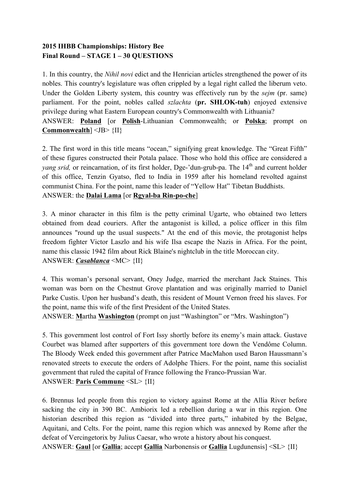## **2015 IHBB Championships: History Bee Final Round – STAGE 1 – 30 QUESTIONS**

1. In this country, the *Nihil novi* edict and the Henrician articles strengthened the power of its nobles. This country's legislature was often crippled by a legal right called the liberum veto. Under the Golden Liberty system, this country was effectively run by the *sejm* (pr. same) parliament. For the point, nobles called *szlachta* (**pr. SHLOK-tuh**) enjoyed extensive privilege during what Eastern European country's Commonwealth with Lithuania? ANSWER: **Poland** [or **Polish**-Lithuanian Commonwealth; or **Polska**; prompt on **Commonwealth**] <JB> {II}

2. The first word in this title means "ocean," signifying great knowledge. The "Great Fifth" of these figures constructed their Potala palace. Those who hold this office are considered a *yang srid,* or reincarnation, of its first holder, Dge-'dun-grub-pa. The 14<sup>th</sup> and current holder of this office, Tenzin Gyatso, fled to India in 1959 after his homeland revolted against communist China. For the point, name this leader of "Yellow Hat" Tibetan Buddhists. ANSWER: the **Dalai Lama** [or **Rgyal-ba Rin-po-che**]

3. A minor character in this film is the petty criminal Ugarte, who obtained two letters obtained from dead couriers. After the antagonist is killed, a police officer in this film announces "round up the usual suspects." At the end of this movie, the protagonist helps freedom fighter Victor Laszlo and his wife Ilsa escape the Nazis in Africa. For the point, name this classic 1942 film about Rick Blaine's nightclub in the title Moroccan city. ANSWER: *Casablanca* <MC> {II}

4. This woman's personal servant, Oney Judge, married the merchant Jack Staines. This woman was born on the Chestnut Grove plantation and was originally married to Daniel Parke Custis. Upon her husband's death, this resident of Mount Vernon freed his slaves. For the point, name this wife of the first President of the United States.

ANSWER: **M**artha **Washington** (prompt on just "Washington" or "Mrs. Washington")

5. This government lost control of Fort Issy shortly before its enemy's main attack. Gustave Courbet was blamed after supporters of this government tore down the Vendôme Column. The Bloody Week ended this government after Patrice MacMahon used Baron Haussmann's renovated streets to execute the orders of Adolphe Thiers. For the point, name this socialist government that ruled the capital of France following the Franco-Prussian War. ANSWER: **Paris Commune** <SL> {II}

6. Brennus led people from this region to victory against Rome at the Allia River before sacking the city in 390 BC. Ambiorix led a rebellion during a war in this region. One historian described this region as "divided into three parts," inhabited by the Belgae, Aquitani, and Celts. For the point, name this region which was annexed by Rome after the defeat of Vercingetorix by Julius Caesar, who wrote a history about his conquest.

ANSWER: **Gaul** [or **Gallia**; accept **Gallia** Narbonensis or **Gallia** Lugdunensis] <SL> {II}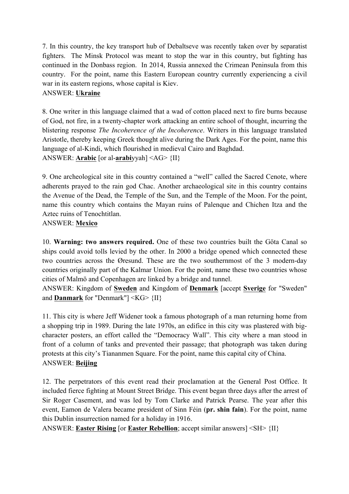7. In this country, the key transport hub of Debaltseve was recently taken over by separatist fighters. The Minsk Protocol was meant to stop the war in this country, but fighting has continued in the Donbass region. In 2014, Russia annexed the Crimean Peninsula from this country. For the point, name this Eastern European country currently experiencing a civil war in its eastern regions, whose capital is Kiev.

## ANSWER: **Ukraine**

8. One writer in this language claimed that a wad of cotton placed next to fire burns because of God, not fire, in a twenty-chapter work attacking an entire school of thought, incurring the blistering response *The Incoherence of the Incoherence*. Writers in this language translated Aristotle, thereby keeping Greek thought alive during the Dark Ages. For the point, name this language of al-Kindi, which flourished in medieval Cairo and Baghdad. ANSWER: **Arabic** [or al-**arabi**yyah] <AG> {II}

9. One archeological site in this country contained a "well" called the Sacred Cenote, where adherents prayed to the rain god Chac. Another archaeological site in this country contains the Avenue of the Dead, the Temple of the Sun, and the Temple of the Moon. For the point, name this country which contains the Mayan ruins of Palenque and Chichen Itza and the Aztec ruins of Tenochtitlan.

## ANSWER: **Mexico**

10. **Warning: two answers required.** One of these two countries built the Göta Canal so ships could avoid tolls levied by the other. In 2000 a bridge opened which connected these two countries across the Øresund. These are the two southernmost of the 3 modern-day countries originally part of the Kalmar Union. For the point, name these two countries whose cities of Malmö and Copenhagen are linked by a bridge and tunnel.

ANSWER: Kingdom of **Sweden** and Kingdom of **Denmark** [accept **Sverige** for "Sweden" and **Danmark** for "Denmark"] <KG> {II}

11. This city is where Jeff Widener took a famous photograph of a man returning home from a shopping trip in 1989. During the late 1970s, an edifice in this city was plastered with bigcharacter posters, an effort called the "Democracy Wall". This city where a man stood in front of a column of tanks and prevented their passage; that photograph was taken during protests at this city's Tiananmen Square. For the point, name this capital city of China. ANSWER: **Beijing**

12. The perpetrators of this event read their proclamation at the General Post Office. It included fierce fighting at Mount Street Bridge. This event began three days after the arrest of Sir Roger Casement, and was led by Tom Clarke and Patrick Pearse. The year after this event, Eamon de Valera became president of Sinn Féin (**pr. shin fain**). For the point, name this Dublin insurrection named for a holiday in 1916.

ANSWER: **Easter Rising** [or **Easter Rebellion**; accept similar answers] <SH> {II}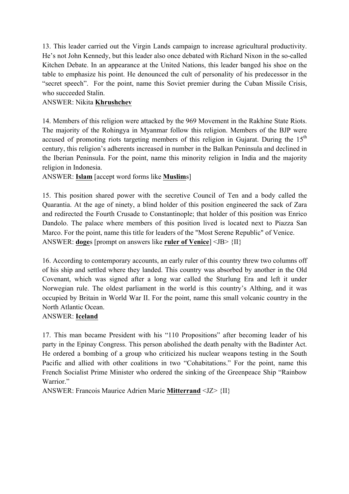13. This leader carried out the Virgin Lands campaign to increase agricultural productivity. He's not John Kennedy, but this leader also once debated with Richard Nixon in the so-called Kitchen Debate. In an appearance at the United Nations, this leader banged his shoe on the table to emphasize his point. He denounced the cult of personality of his predecessor in the "secret speech". For the point, name this Soviet premier during the Cuban Missile Crisis, who succeeded Stalin.

## ANSWER: Nikita **Khrushchev**

14. Members of this religion were attacked by the 969 Movement in the Rakhine State Riots. The majority of the Rohingya in Myanmar follow this religion. Members of the BJP were accused of promoting riots targeting members of this religion in Gujarat. During the  $15<sup>th</sup>$ century, this religion's adherents increased in number in the Balkan Peninsula and declined in the Iberian Peninsula. For the point, name this minority religion in India and the majority religion in Indonesia.

ANSWER: **Islam** [accept word forms like **Muslim**s]

15. This position shared power with the secretive Council of Ten and a body called the Quarantia. At the age of ninety, a blind holder of this position engineered the sack of Zara and redirected the Fourth Crusade to Constantinople; that holder of this position was Enrico Dandolo. The palace where members of this position lived is located next to Piazza San Marco. For the point, name this title for leaders of the "Most Serene Republic" of Venice. ANSWER: **doge**s [prompt on answers like **ruler of Venice**] <JB> {II}

16. According to contemporary accounts, an early ruler of this country threw two columns off of his ship and settled where they landed. This country was absorbed by another in the Old Covenant, which was signed after a long war called the Sturlung Era and left it under Norwegian rule. The oldest parliament in the world is this country's Althing, and it was occupied by Britain in World War II. For the point, name this small volcanic country in the North Atlantic Ocean.

#### ANSWER: **Iceland**

17. This man became President with his "110 Propositions" after becoming leader of his party in the Epinay Congress. This person abolished the death penalty with the Badinter Act. He ordered a bombing of a group who criticized his nuclear weapons testing in the South Pacific and allied with other coalitions in two "Cohabitations." For the point, name this French Socialist Prime Minister who ordered the sinking of the Greenpeace Ship "Rainbow Warrior."

ANSWER: Francois Maurice Adrien Marie **Mitterrand** <JZ> {II}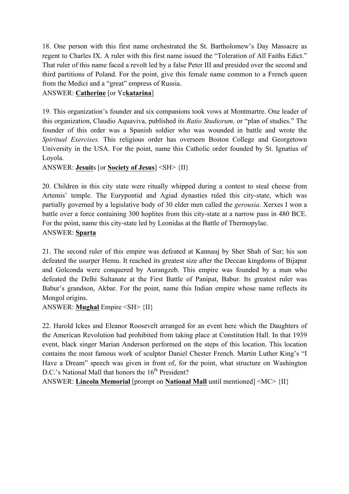18. One person with this first name orchestrated the St. Bartholomew's Day Massacre as regent to Charles IX. A ruler with this first name issued the "Toleration of All Faiths Edict." That ruler of this name faced a revolt led by a false Peter III and presided over the second and third partitions of Poland. For the point, give this female name common to a French queen from the Medici and a "great" empress of Russia.

# ANSWER: **Catherine** [or Ye**katarina**]

19. This organization's founder and six companions took vows at Montmartre. One leader of this organization, Claudio Aquaviva, published its *Ratio Studiorum,* or "plan of studies." The founder of this order was a Spanish soldier who was wounded in battle and wrote the *Spiritual Exercises.* This religious order has overseen Boston College and Georgetown University in the USA. For the point, name this Catholic order founded by St. Ignatius of Loyola.

ANSWER: **Jesuit**s [or **Society of Jesus**] <SH> {II}

20. Children in this city state were ritually whipped during a contest to steal cheese from Artemis' temple. The Eurypontid and Agiad dynasties ruled this city-state, which was partially governed by a legislative body of 30 elder men called the *gerousia*. Xerxes I won a battle over a force containing 300 hoplites from this city-state at a narrow pass in 480 BCE. For the point, name this city-state led by Leonidas at the Battle of Thermopylae. ANSWER: **Sparta**

21. The second ruler of this empire was defeated at Kannauj by Sher Shah of Sur; his son defeated the usurper Hemu. It reached its greatest size after the Deccan kingdoms of Bijapur and Golconda were conquered by Aurangzeb. This empire was founded by a man who defeated the Delhi Sultanate at the First Battle of Panipat, Babur. Its greatest ruler was Babur's grandson, Akbar. For the point, name this Indian empire whose name reflects its Mongol origins.

ANSWER: **Mughal** Empire <SH> {II}

22. Harold Ickes and Eleanor Roosevelt arranged for an event here which the Daughters of the American Revolution had prohibited from taking place at Constitution Hall. In that 1939 event, black singer Marian Anderson performed on the steps of this location. This location contains the most famous work of sculptor Daniel Chester French. Martin Luther King's "I Have a Dream" speech was given in front of, for the point, what structure on Washington D.C.'s National Mall that honors the  $16<sup>th</sup>$  President?

ANSWER: **Lincoln Memorial** [prompt on **National Mall** until mentioned] <MC> {II}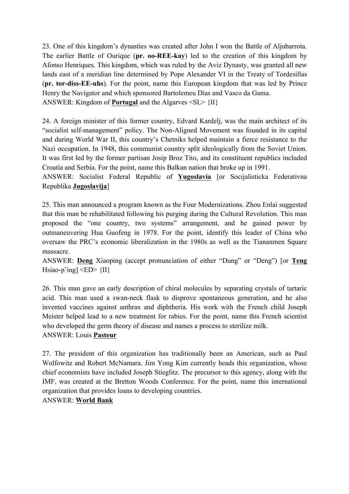23. One of this kingdom's dynasties was created after John I won the Battle of Aljubarrota. The earlier Battle of Ourique (**pr. oo-REE-kay**) led to the creation of this kingdom by Afonso Henriques. This kingdom, which was ruled by the Aviz Dynasty, was granted all new lands east of a meridian line determined by Pope Alexander VI in the Treaty of Tordesillas (**pr. tor-diss-EE-uhs**). For the point, name this European kingdom that was led by Prince Henry the Navigator and which sponsored Bartolemeu Dias and Vasco da Gama. ANSWER: Kingdom of **Portugal** and the Algarves <SL> {II}

24. A foreign minister of this former country, Edvard Kardelj, was the main architect of its "socialist self-management" policy. The Non-Aligned Movement was founded in its capital and during World War II, this country's Chetniks helped maintain a fierce resistance to the Nazi occupation. In 1948, this communist country split ideologically from the Soviet Union. It was first led by the former partisan Josip Broz Tito, and its constituent republics included Croatia and Serbia. For the point, name this Balkan nation that broke up in 1991.

ANSWER: Socialist Federal Republic of **Yugoslavia** [or Socijalisticka Federativna Republika **Jugoslavija**]

25. This man announced a program known as the Four Modernizations. Zhou Enlai suggested that this man be rehabilitated following his purging during the Cultural Revolution. This man proposed the "one country, two systems" arrangement, and he gained power by outmaneuvering Hua Guofeng in 1978. For the point, identify this leader of China who oversaw the PRC's economic liberalization in the 1980s as well as the Tiananmen Square massacre.

ANSWER: **Deng** Xiaoping (accept pronunciation of either "Dung" or "Deng") [or **Teng** Hsiao-p'ing]  $\langle ED \rangle$  {II}

26. This man gave an early description of chiral molecules by separating crystals of tartaric acid. This man used a swan-neck flask to disprove spontaneous generation, and he also invented vaccines against anthrax and diphtheria. His work with the French child Joseph Meister helped lead to a new treatment for rabies. For the point, name this French scientist who developed the germ theory of disease and names a process to sterilize milk. ANSWER: Louis **Pasteur**

27. The president of this organization has traditionally been an American, such as Paul Wolfowitz and Robert McNamara. Jim Yong Kim currently heads this organization, whose chief economists have included Joseph Stieglitz. The precursor to this agency, along with the IMF, was created at the Bretton Woods Conference. For the point, name this international organization that provides loans to developing countries.

## ANSWER: **World Bank**